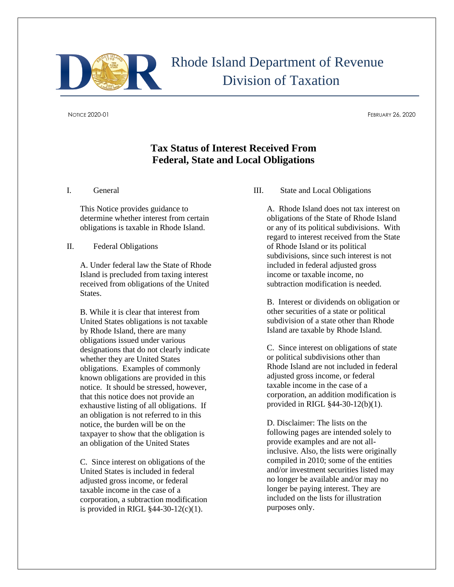

# Rhode Island Department of Revenue Division of Taxation

NOTICE 2020-01 FEBRUARY 26, 2020

## **Tax Status of Interest Received From Federal, State and Local Obligations**

I. General

This Notice provides guidance to determine whether interest from certain obligations is taxable in Rhode Island.

#### II. Federal Obligations

A. Under federal law the State of Rhode Island is precluded from taxing interest received from obligations of the United States.

B. While it is clear that interest from United States obligations is not taxable by Rhode Island, there are many obligations issued under various designations that do not clearly indicate whether they are United States obligations. Examples of commonly known obligations are provided in this notice. It should be stressed, however, that this notice does not provide an exhaustive listing of all obligations. If an obligation is not referred to in this notice, the burden will be on the taxpayer to show that the obligation is an obligation of the United States

C. Since interest on obligations of the United States is included in federal adjusted gross income, or federal taxable income in the case of a corporation, a subtraction modification is provided in RIGL §44-30-12(c)(1).

III. State and Local Obligations

A. Rhode Island does not tax interest on obligations of the State of Rhode Island or any of its political subdivisions. With regard to interest received from the State of Rhode Island or its political subdivisions, since such interest is not included in federal adjusted gross income or taxable income, no subtraction modification is needed.

B. Interest or dividends on obligation or other securities of a state or political subdivision of a state other than Rhode Island are taxable by Rhode Island.

C. Since interest on obligations of state or political subdivisions other than Rhode Island are not included in federal adjusted gross income, or federal taxable income in the case of a corporation, an addition modification is provided in RIGL §44-30-12(b)(1).

D. Disclaimer: The lists on the following pages are intended solely to provide examples and are not allinclusive. Also, the lists were originally compiled in 2010; some of the entities and/or investment securities listed may no longer be available and/or may no longer be paying interest. They are included on the lists for illustration purposes only.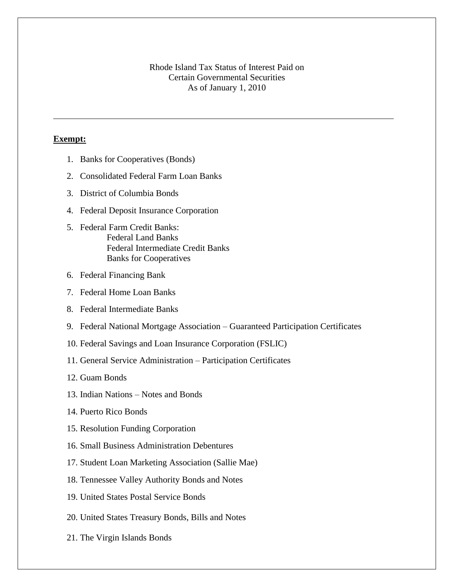#### Rhode Island Tax Status of Interest Paid on Certain Governmental Securities As of January 1, 2010

#### **Exempt:**

- 1. Banks for Cooperatives (Bonds)
- 2. Consolidated Federal Farm Loan Banks
- 3. District of Columbia Bonds
- 4. Federal Deposit Insurance Corporation
- 5. Federal Farm Credit Banks: Federal Land Banks Federal Intermediate Credit Banks Banks for Cooperatives
- 6. Federal Financing Bank
- 7. Federal Home Loan Banks
- 8. Federal Intermediate Banks
- 9. Federal National Mortgage Association Guaranteed Participation Certificates
- 10. Federal Savings and Loan Insurance Corporation (FSLIC)
- 11. General Service Administration Participation Certificates
- 12. Guam Bonds
- 13. Indian Nations Notes and Bonds
- 14. Puerto Rico Bonds
- 15. Resolution Funding Corporation
- 16. Small Business Administration Debentures
- 17. Student Loan Marketing Association (Sallie Mae)
- 18. Tennessee Valley Authority Bonds and Notes
- 19. United States Postal Service Bonds
- 20. United States Treasury Bonds, Bills and Notes
- 21. The Virgin Islands Bonds